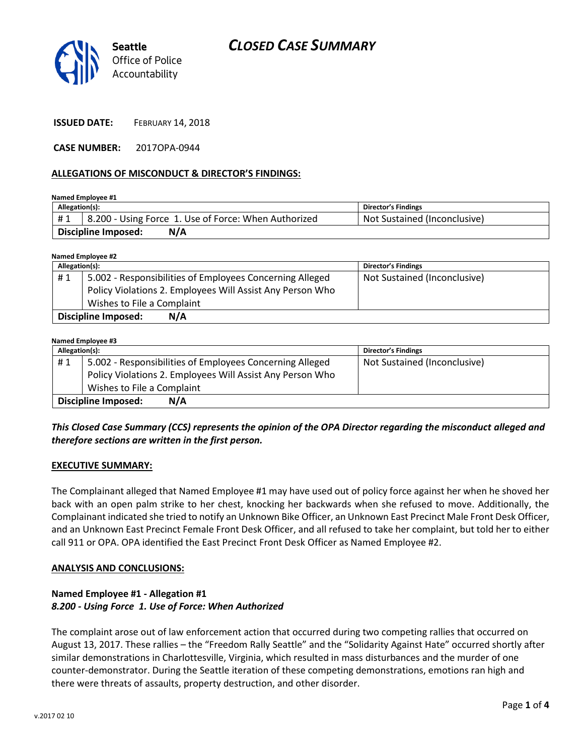

**ISSUED DATE:** FEBRUARY 14, 2018

**CASE NUMBER:** 2017OPA-0944

### **ALLEGATIONS OF MISCONDUCT & DIRECTOR'S FINDINGS:**

**Named Employee #1**

| Allegation(s):                    |                                                      | <b>Director's Findings</b>   |
|-----------------------------------|------------------------------------------------------|------------------------------|
| #1                                | 8.200 - Using Force 1. Use of Force: When Authorized | Not Sustained (Inconclusive) |
| <b>Discipline Imposed:</b><br>N/A |                                                      |                              |

**Named Employee #2**

| Allegation(s):             |                            |                                                           | <b>Director's Findings</b>   |
|----------------------------|----------------------------|-----------------------------------------------------------|------------------------------|
| #1                         |                            | 5.002 - Responsibilities of Employees Concerning Alleged  | Not Sustained (Inconclusive) |
|                            |                            | Policy Violations 2. Employees Will Assist Any Person Who |                              |
|                            | Wishes to File a Complaint |                                                           |                              |
| <b>Discipline Imposed:</b> |                            | N/A                                                       |                              |

#### **Named Employee #3**

| Allegation(s):                    |                                                           | <b>Director's Findings</b>   |  |  |
|-----------------------------------|-----------------------------------------------------------|------------------------------|--|--|
| #1                                | 5.002 - Responsibilities of Employees Concerning Alleged  | Not Sustained (Inconclusive) |  |  |
|                                   | Policy Violations 2. Employees Will Assist Any Person Who |                              |  |  |
|                                   | Wishes to File a Complaint                                |                              |  |  |
| N/A<br><b>Discipline Imposed:</b> |                                                           |                              |  |  |

# *This Closed Case Summary (CCS) represents the opinion of the OPA Director regarding the misconduct alleged and therefore sections are written in the first person.*

### **EXECUTIVE SUMMARY:**

The Complainant alleged that Named Employee #1 may have used out of policy force against her when he shoved her back with an open palm strike to her chest, knocking her backwards when she refused to move. Additionally, the Complainant indicated she tried to notify an Unknown Bike Officer, an Unknown East Precinct Male Front Desk Officer, and an Unknown East Precinct Female Front Desk Officer, and all refused to take her complaint, but told her to either call 911 or OPA. OPA identified the East Precinct Front Desk Officer as Named Employee #2.

### **ANALYSIS AND CONCLUSIONS:**

### **Named Employee #1 - Allegation #1** *8.200 - Using Force 1. Use of Force: When Authorized*

The complaint arose out of law enforcement action that occurred during two competing rallies that occurred on August 13, 2017. These rallies – the "Freedom Rally Seattle" and the "Solidarity Against Hate" occurred shortly after similar demonstrations in Charlottesville, Virginia, which resulted in mass disturbances and the murder of one counter-demonstrator. During the Seattle iteration of these competing demonstrations, emotions ran high and there were threats of assaults, property destruction, and other disorder.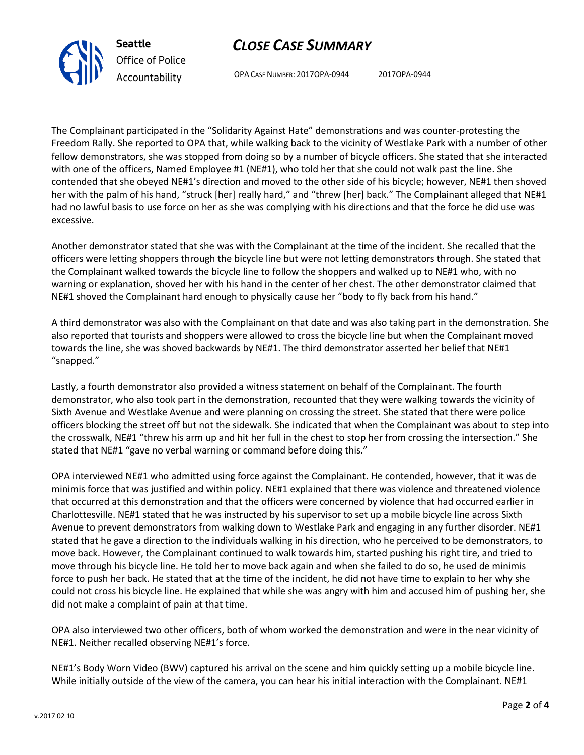# *CLOSE CASE SUMMARY*



OPA CASE NUMBER: 2017OPA-0944 2017OPA-0944

The Complainant participated in the "Solidarity Against Hate" demonstrations and was counter-protesting the Freedom Rally. She reported to OPA that, while walking back to the vicinity of Westlake Park with a number of other fellow demonstrators, she was stopped from doing so by a number of bicycle officers. She stated that she interacted with one of the officers, Named Employee #1 (NE#1), who told her that she could not walk past the line. She contended that she obeyed NE#1's direction and moved to the other side of his bicycle; however, NE#1 then shoved her with the palm of his hand, "struck [her] really hard," and "threw [her] back." The Complainant alleged that NE#1 had no lawful basis to use force on her as she was complying with his directions and that the force he did use was excessive.

Another demonstrator stated that she was with the Complainant at the time of the incident. She recalled that the officers were letting shoppers through the bicycle line but were not letting demonstrators through. She stated that the Complainant walked towards the bicycle line to follow the shoppers and walked up to NE#1 who, with no warning or explanation, shoved her with his hand in the center of her chest. The other demonstrator claimed that NE#1 shoved the Complainant hard enough to physically cause her "body to fly back from his hand."

A third demonstrator was also with the Complainant on that date and was also taking part in the demonstration. She also reported that tourists and shoppers were allowed to cross the bicycle line but when the Complainant moved towards the line, she was shoved backwards by NE#1. The third demonstrator asserted her belief that NE#1 "snapped."

Lastly, a fourth demonstrator also provided a witness statement on behalf of the Complainant. The fourth demonstrator, who also took part in the demonstration, recounted that they were walking towards the vicinity of Sixth Avenue and Westlake Avenue and were planning on crossing the street. She stated that there were police officers blocking the street off but not the sidewalk. She indicated that when the Complainant was about to step into the crosswalk, NE#1 "threw his arm up and hit her full in the chest to stop her from crossing the intersection." She stated that NE#1 "gave no verbal warning or command before doing this."

OPA interviewed NE#1 who admitted using force against the Complainant. He contended, however, that it was de minimis force that was justified and within policy. NE#1 explained that there was violence and threatened violence that occurred at this demonstration and that the officers were concerned by violence that had occurred earlier in Charlottesville. NE#1 stated that he was instructed by his supervisor to set up a mobile bicycle line across Sixth Avenue to prevent demonstrators from walking down to Westlake Park and engaging in any further disorder. NE#1 stated that he gave a direction to the individuals walking in his direction, who he perceived to be demonstrators, to move back. However, the Complainant continued to walk towards him, started pushing his right tire, and tried to move through his bicycle line. He told her to move back again and when she failed to do so, he used de minimis force to push her back. He stated that at the time of the incident, he did not have time to explain to her why she could not cross his bicycle line. He explained that while she was angry with him and accused him of pushing her, she did not make a complaint of pain at that time.

OPA also interviewed two other officers, both of whom worked the demonstration and were in the near vicinity of NE#1. Neither recalled observing NE#1's force.

NE#1's Body Worn Video (BWV) captured his arrival on the scene and him quickly setting up a mobile bicycle line. While initially outside of the view of the camera, you can hear his initial interaction with the Complainant. NE#1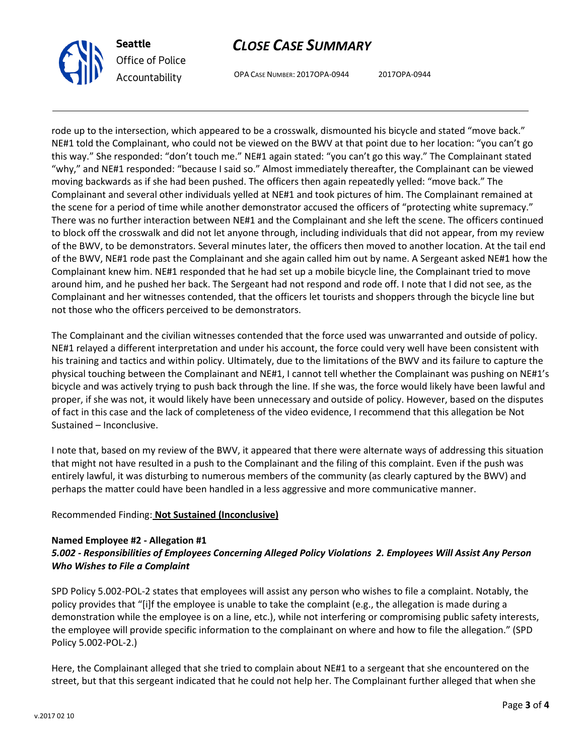



OPA CASE NUMBER: 2017OPA-0944 2017OPA-0944

rode up to the intersection, which appeared to be a crosswalk, dismounted his bicycle and stated "move back." NE#1 told the Complainant, who could not be viewed on the BWV at that point due to her location: "you can't go this way." She responded: "don't touch me." NE#1 again stated: "you can't go this way." The Complainant stated "why," and NE#1 responded: "because I said so." Almost immediately thereafter, the Complainant can be viewed moving backwards as if she had been pushed. The officers then again repeatedly yelled: "move back." The Complainant and several other individuals yelled at NE#1 and took pictures of him. The Complainant remained at the scene for a period of time while another demonstrator accused the officers of "protecting white supremacy." There was no further interaction between NE#1 and the Complainant and she left the scene. The officers continued to block off the crosswalk and did not let anyone through, including individuals that did not appear, from my review of the BWV, to be demonstrators. Several minutes later, the officers then moved to another location. At the tail end of the BWV, NE#1 rode past the Complainant and she again called him out by name. A Sergeant asked NE#1 how the Complainant knew him. NE#1 responded that he had set up a mobile bicycle line, the Complainant tried to move around him, and he pushed her back. The Sergeant had not respond and rode off. I note that I did not see, as the Complainant and her witnesses contended, that the officers let tourists and shoppers through the bicycle line but not those who the officers perceived to be demonstrators.

The Complainant and the civilian witnesses contended that the force used was unwarranted and outside of policy. NE#1 relayed a different interpretation and under his account, the force could very well have been consistent with his training and tactics and within policy. Ultimately, due to the limitations of the BWV and its failure to capture the physical touching between the Complainant and NE#1, I cannot tell whether the Complainant was pushing on NE#1's bicycle and was actively trying to push back through the line. If she was, the force would likely have been lawful and proper, if she was not, it would likely have been unnecessary and outside of policy. However, based on the disputes of fact in this case and the lack of completeness of the video evidence, I recommend that this allegation be Not Sustained – Inconclusive.

I note that, based on my review of the BWV, it appeared that there were alternate ways of addressing this situation that might not have resulted in a push to the Complainant and the filing of this complaint. Even if the push was entirely lawful, it was disturbing to numerous members of the community (as clearly captured by the BWV) and perhaps the matter could have been handled in a less aggressive and more communicative manner.

# Recommended Finding: **Not Sustained (Inconclusive)**

## **Named Employee #2 - Allegation #1** *5.002 - Responsibilities of Employees Concerning Alleged Policy Violations 2. Employees Will Assist Any Person Who Wishes to File a Complaint*

SPD Policy 5.002-POL-2 states that employees will assist any person who wishes to file a complaint. Notably, the policy provides that "[i]f the employee is unable to take the complaint (e.g., the allegation is made during a demonstration while the employee is on a line, etc.), while not interfering or compromising public safety interests, the employee will provide specific information to the complainant on where and how to file the allegation." (SPD Policy 5.002-POL-2.)

Here, the Complainant alleged that she tried to complain about NE#1 to a sergeant that she encountered on the street, but that this sergeant indicated that he could not help her. The Complainant further alleged that when she